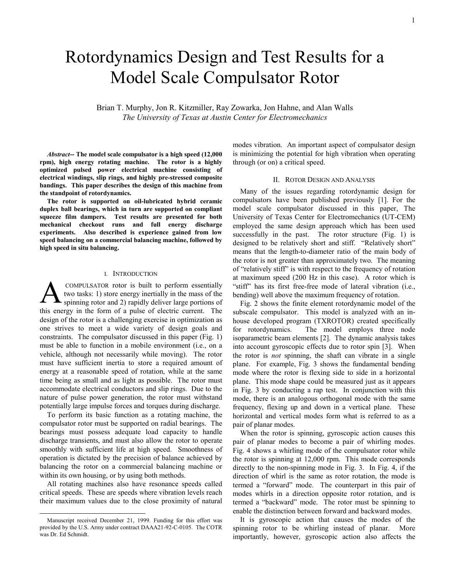# Rotordynamics Design and Test Results for a Model Scale Compulsator Rotor

Brian T. Murphy, Jon R. Kitzmiller, Ray Zowarka, Jon Hahne, and Alan Walls *The University of Texas at Austin Center for Electromechanics* 

*Abstract***-- The model scale compulsator is a high speed (12,000 rpm), high energy rotating machine. The rotor is a highly optimized pulsed power electrical machine consisting of electrical windings, slip rings, and highly pre-stressed composite bandings. This paper describes the design of this machine from the standpoint of rotordynamics.** 

**The rotor is supported on oil-lubricated hybrid ceramic duplex ball bearings, which in turn are supported on compliant squeeze film dampers. Test results are presented for both mechanical checkout runs and full energy discharge experiments. Also described is experience gained from low speed balancing on a commercial balancing machine, followed by high speed in situ balancing.** 

## I. INTRODUCTION

 COMPULSATOR rotor is built to perform essentially two tasks: 1) store energy inertially in the mass of the spinning rotor and 2) rapidly deliver large portions of this energy in the form of a pulse of electric current. The design of the rotor is a challenging exercise in optimization as one strives to meet a wide variety of design goals and constraints. The compulsator discussed in this paper (Fig. 1) must be able to function in a mobile environment (i.e., on a vehicle, although not necessarily while moving). The rotor must have sufficient inertia to store a required amount of energy at a reasonable speed of rotation, while at the same time being as small and as light as possible. The rotor must accommodate electrical conductors and slip rings. Due to the nature of pulse power generation, the rotor must withstand potentially large impulse forces and torques during discharge.  $\mathbf{A}^{\text{\tiny{C}}}_{\text{\tiny{sp}}}$ 

To perform its basic function as a rotating machine, the compulsator rotor must be supported on radial bearings. The bearings must possess adequate load capacity to handle discharge transients, and must also allow the rotor to operate smoothly with sufficient life at high speed. Smoothness of operation is dictated by the precision of balance achieved by balancing the rotor on a commercial balancing machine or within its own housing, or by using both methods.

All rotating machines also have resonance speeds called critical speeds. These are speeds where vibration levels reach their maximum values due to the close proximity of natural

 $\overline{\phantom{a}}$ 

modes vibration. An important aspect of compulsator design is minimizing the potential for high vibration when operating through (or on) a critical speed.

#### II. ROTOR DESIGN AND ANALYSIS

Many of the issues regarding rotordynamic design for compulsators have been published previously [1]. For the model scale compulsator discussed in this paper, The University of Texas Center for Electromechanics (UT-CEM) employed the same design approach which has been used successfully in the past. The rotor structure (Fig. 1) is designed to be relatively short and stiff. "Relatively short" means that the length-to-diameter ratio of the main body of the rotor is not greater than approximately two. The meaning of "relatively stiff" is with respect to the frequency of rotation at maximum speed (200 Hz in this case). A rotor which is "stiff" has its first free-free mode of lateral vibration (i.e., bending) well above the maximum frequency of rotation.

Fig. 2 shows the finite element rotordynamic model of the subscale compulsator. This model is analyzed with an inhouse developed program (TXROTOR) created specifically for rotordynamics. The model employs three node isoparametric beam elements [2]. The dynamic analysis takes into account gyroscopic effects due to rotor spin [3]. When the rotor is *not* spinning, the shaft can vibrate in a single plane. For example, Fig. 3 shows the fundamental bending mode where the rotor is flexing side to side in a horizontal plane. This mode shape could be measured just as it appears in Fig. 3 by conducting a rap test. In conjunction with this mode, there is an analogous orthogonal mode with the same frequency, flexing up and down in a vertical plane. These horizontal and vertical modes form what is referred to as a pair of planar modes.

When the rotor is spinning, gyroscopic action causes this pair of planar modes to become a pair of whirling modes. Fig. 4 shows a whirling mode of the compulsator rotor while the rotor is spinning at 12,000 rpm. This mode corresponds directly to the non-spinning mode in Fig. 3. In Fig. 4, if the direction of whirl is the same as rotor rotation, the mode is termed a "forward" mode. The counterpart in this pair of modes whirls in a direction opposite rotor rotation, and is termed a "backward" mode. The rotor must be spinning to enable the distinction between forward and backward modes.

It is gyroscopic action that causes the modes of the spinning rotor to be whirling instead of planar. More importantly, however, gyroscopic action also affects the

Manuscript received December 21, 1999. Funding for this effort was provided by the U.S. Army under contract DAAA21-92-C-0105. The COTR was Dr. Ed Schmidt.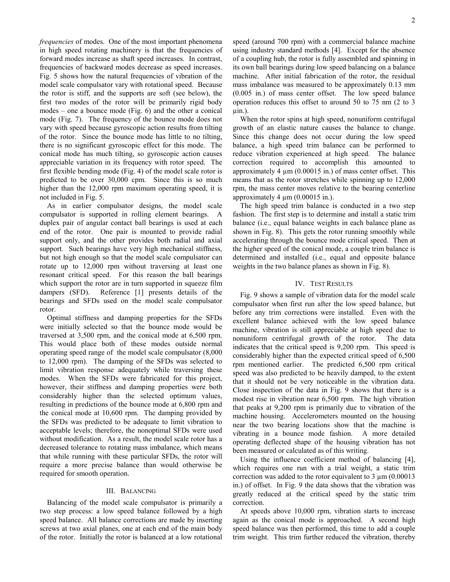*frequencies* of modes. One of the most important phenomena in high speed rotating machinery is that the frequencies of forward modes increase as shaft speed increases. In contrast, frequencies of backward modes decrease as speed increases. Fig. 5 shows how the natural frequencies of vibration of the model scale compulsator vary with rotational speed. Because the rotor is stiff, and the supports are soft (see below), the first two modes of the rotor will be primarily rigid body modes – one a bounce mode (Fig. 6) and the other a conical mode (Fig. 7). The frequency of the bounce mode does not vary with speed because gyroscopic action results from tilting of the rotor. Since the bounce mode has little to no tilting, there is no significant gyroscopic effect for this mode. The conical mode has much tilting, so gyroscopic action causes appreciable variation in its frequency with rotor speed. The first flexible bending mode (Fig. 4) of the model scale rotor is predicted to be over 30,000 cpm. Since this is so much higher than the 12,000 rpm maximum operating speed, it is not included in Fig. 5.

As in earlier compulsator designs, the model scale compulsator is supported in rolling element bearings. A duplex pair of angular contact ball bearings is used at each end of the rotor. One pair is mounted to provide radial support only, and the other provides both radial and axial support. Such bearings have very high mechanical stiffness, but not high enough so that the model scale compulsator can rotate up to 12,000 rpm without traversing at least one resonant critical speed. For this reason the ball bearings which support the rotor are in turn supported in squeeze film dampers (SFD). Reference [1] presents details of the bearings and SFDs used on the model scale compulsator rotor.

Optimal stiffness and damping properties for the SFDs were initially selected so that the bounce mode would be traversed at 3,500 rpm, and the conical mode at 6,500 rpm. This would place both of these modes outside normal operating speed range of the model scale compulsator (8,000 to 12,000 rpm). The damping of the SFDs was selected to limit vibration response adequately while traversing these modes. When the SFDs were fabricated for this project, however, their stiffness and damping properties were both considerably higher than the selected optimum values, resulting in predictions of the bounce mode at 6,800 rpm and the conical mode at 10,600 rpm. The damping provided by the SFDs was predicted to be adequate to limit vibration to acceptable levels; therefore, the nonoptimal SFDs were used without modification. As a result, the model scale rotor has a decreased tolerance to rotating mass imbalance, which means that while running with these particular SFDs, the rotor will require a more precise balance than would otherwise be required for smooth operation.

## III. BALANCING

Balancing of the model scale compulsator is primarily a two step process: a low speed balance followed by a high speed balance. All balance corrections are made by inserting screws at two axial planes, one at each end of the main body of the rotor. Initially the rotor is balanced at a low rotational

speed (around 700 rpm) with a commercial balance machine using industry standard methods [4]. Except for the absence of a coupling hub, the rotor is fully assembled and spinning in its own ball bearings during low speed balancing on a balance machine. After initial fabrication of the rotor, the residual mass imbalance was measured to be approximately 0.13 mm (0.005 in.) of mass center offset. The low speed balance operation reduces this offset to around 50 to 75 nm (2 to 3  $\lim_{h \to 0}$ .

When the rotor spins at high speed, nonuniform centrifugal growth of an elastic nature causes the balance to change. Since this change does not occur during the low speed balance, a high speed trim balance can be performed to reduce vibration experienced at high speed. The balance correction required to accomplish this amounted to approximately 4  $\mu$ m (0.00015 in.) of mass center offset. This means that as the rotor stretches while spinning up to 12,000 rpm, the mass center moves relative to the bearing centerline approximately 4  $\mu$ m (0.00015 in.).

The high speed trim balance is conducted in a two step fashion. The first step is to determine and install a static trim balance (i.e., equal balance weights in each balance plane as shown in Fig. 8). This gets the rotor running smoothly while accelerating through the bounce mode critical speed. Then at the higher speed of the conical mode, a couple trim balance is determined and installed (i.e., equal and opposite balance weights in the two balance planes as shown in Fig. 8).

#### IV. TEST RESULTS

Fig. 9 shows a sample of vibration data for the model scale compulsator when first run after the low speed balance, but before any trim corrections were installed. Even with the excellent balance achieved with the low speed balance machine, vibration is still appreciable at high speed due to nonuniform centrifugal growth of the rotor. The data indicates that the critical speed is 9,200 rpm. This speed is considerably higher than the expected critical speed of 6,500 rpm mentioned earlier. The predicted 6,500 rpm critical speed was also predicted to be heavily damped, to the extent that it should not be very noticeable in the vibration data. Close inspection of the data in Fig. 9 shows that there is a modest rise in vibration near 6,500 rpm. The high vibration that peaks at 9,200 rpm is primarily due to vibration of the machine housing. Accelerometers mounted on the housing near the two bearing locations show that the machine is vibrating in a bounce mode fashion. A more detailed operating deflected shape of the housing vibration has not been measured or calculated as of this writing.

Using the influence coefficient method of balancing [4], which requires one run with a trial weight, a static trim correction was added to the rotor equivalent to  $3 \mu m (0.00013)$ in.) of offset. In Fig. 9 the data shows that the vibration was greatly reduced at the critical speed by the static trim correction.

At speeds above 10,000 rpm, vibration starts to increase again as the conical mode is approached. A second high speed balance was then performed, this time to add a couple trim weight. This trim further reduced the vibration, thereby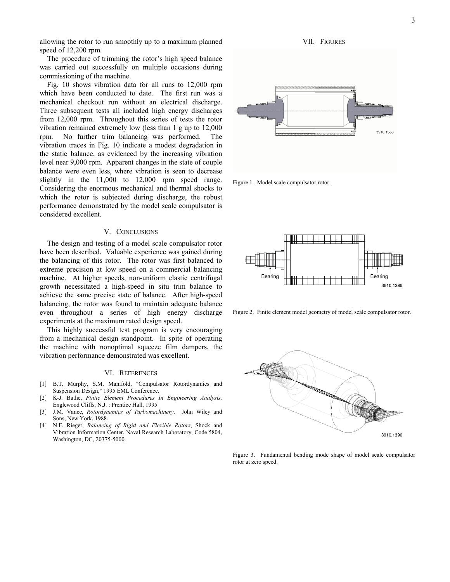allowing the rotor to run smoothly up to a maximum planned speed of 12,200 rpm.

The procedure of trimming the rotor's high speed balance was carried out successfully on multiple occasions during commissioning of the machine.

Fig. 10 shows vibration data for all runs to 12,000 rpm which have been conducted to date. The first run was a mechanical checkout run without an electrical discharge. Three subsequent tests all included high energy discharges from 12,000 rpm. Throughout this series of tests the rotor vibration remained extremely low (less than 1 g up to 12,000 rpm. No further trim balancing was performed. The vibration traces in Fig. 10 indicate a modest degradation in the static balance, as evidenced by the increasing vibration level near 9,000 rpm. Apparent changes in the state of couple balance were even less, where vibration is seen to decrease slightly in the 11,000 to 12,000 rpm speed range. Considering the enormous mechanical and thermal shocks to which the rotor is subjected during discharge, the robust performance demonstrated by the model scale compulsator is considered excellent.

## V. CONCLUSIONS

The design and testing of a model scale compulsator rotor have been described. Valuable experience was gained during the balancing of this rotor. The rotor was first balanced to extreme precision at low speed on a commercial balancing machine. At higher speeds, non-uniform elastic centrifugal growth necessitated a high-speed in situ trim balance to achieve the same precise state of balance. After high-speed balancing, the rotor was found to maintain adequate balance even throughout a series of high energy discharge experiments at the maximum rated design speed.

This highly successful test program is very encouraging from a mechanical design standpoint. In spite of operating the machine with nonoptimal squeeze film dampers, the vibration performance demonstrated was excellent.

#### VI. REFERENCES

- [1] B.T. Murphy, S.M. Manifold, "Compulsator Rotordynamics and Suspension Design," 1995 EML Conference.
- [2] K-J. Bathe, *Finite Element Procedures In Engineering Analysis,* Englewood Cliffs, N.J. : Prentice Hall, 1995
- [3] J.M. Vance, *Rotordynamics of Turbomachinery,* John Wiley and Sons, New York, 1988.
- [4] N.F. Rieger, *Balancing of Rigid and Flexible Rotors*, Shock and Vibration Information Center, Naval Research Laboratory, Code 5804, Washington, DC, 20375-5000.





Figure 2. Finite element model geometry of model scale compulsator rotor.



Figure 3. Fundamental bending mode shape of model scale compulsator rotor at zero speed.



3910.1388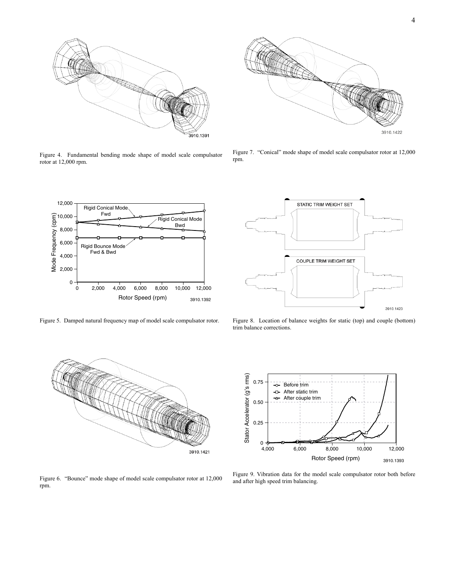

Figure 4. Fundamental bending mode shape of model scale compulsator rotor at 12,000 rpm.



Figure 7. "Conical" mode shape of model scale compulsator rotor at 12,000 rpm.



Figure 5. Damped natural frequency map of model scale compulsator rotor.



Figure 8. Location of balance weights for static (top) and couple (bottom) trim balance corrections.



Figure 6. "Bounce" mode shape of model scale compulsator rotor at 12,000 rpm.

Stator Accelerator (g's rms) Stator Accelerator (g's rms) 0.75 -o- Before trim After static trim ╺ After couple trim A 0.50 0.25  $0 - \Phi$ <br>4,000 4,000 6,000 8,000 10,000 12,000 Rotor Speed (rpm) 3910.1393

Figure 9. Vibration data for the model scale compulsator rotor both before and after high speed trim balancing.